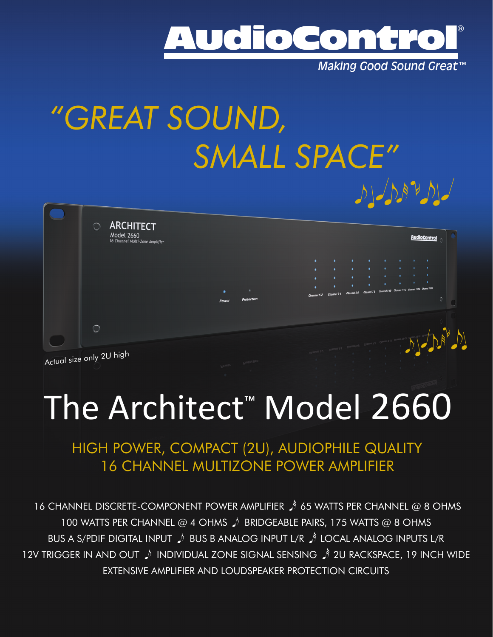

*Making Good Sound Great™*

### *"GREAT SOUND, SMALL SPACE"* **experience and the contract of the contract of the contract of the contract of the contract of the contract of the contract of the contract of the contract of the contract of the contract of the contract of the contract o**  $\mathcal{V}(\mathcal{A})$

| $\circ$ | <b>ARCHITECT</b><br>Model 2660<br>16 Channel Multi-Zone Amplifier                                                                           |       |            |                                                                                         |             |             |                                                                    |  | <b>AudioControl</b> |  |
|---------|---------------------------------------------------------------------------------------------------------------------------------------------|-------|------------|-----------------------------------------------------------------------------------------|-------------|-------------|--------------------------------------------------------------------|--|---------------------|--|
|         |                                                                                                                                             |       |            | ٠                                                                                       |             |             |                                                                    |  |                     |  |
|         |                                                                                                                                             |       |            | ٠                                                                                       |             |             |                                                                    |  |                     |  |
|         |                                                                                                                                             |       |            |                                                                                         |             |             |                                                                    |  | - 1                 |  |
|         |                                                                                                                                             |       |            |                                                                                         | Channel 3-4 | Channel 5-6 | Channel 7-8 Channel 9-10 Channel 11-12 Channel 13-14 Channel 15-16 |  |                     |  |
|         |                                                                                                                                             | Power | Protection | Channel 1-2                                                                             |             |             |                                                                    |  | $\circ$             |  |
|         |                                                                                                                                             |       |            |                                                                                         |             |             |                                                                    |  |                     |  |
| $\circ$ |                                                                                                                                             |       |            | Chamal 1-2 Chamal 3-4 Chamal 5-6 Chamal 7-3 Chamal 5-9 Chamal 1-1-2 Chamal 1-1-2 Chamal |             |             |                                                                    |  |                     |  |
|         | $\frac{1}{2}$ $\frac{1}{2}$ $\frac{1}{2}$ $\frac{1}{2}$ $\frac{1}{2}$ $\frac{1}{2}$ $\frac{1}{2}$ $\frac{1}{2}$ $\frac{1}{2}$ $\frac{1}{2}$ |       |            |                                                                                         |             |             |                                                                    |  |                     |  |

Actual size only 2U high

# The Architect<sup>™</sup> Model 2660

#### HIGH POWER, COMPACT (2U), AUDIOPHILE QUALITY 16 CHANNEL MULTIZONE POWER AMPLIFIER

16 CHANNEL DISCRETE-COMPONENT POWER AMPLIFIER 165 WATTS PER CHANNEL @ 8 OHMS 100 WATTS PER CHANNEL @ 4 OHMS  $\downarrow$  BRIDGEABLE PAIRS, 175 WATTS @ 8 OHMS BUS A S/PDIF DIGITAL INPUT  $\int$  BUS B ANALOG INPUT L/R  $\int$  LOCAL ANALOG INPUTS L/R 12V TRIGGER IN AND OUT  $\downarrow$  INDIVIDUAL ZONE SIGNAL SENSING  $\downarrow$  2U RACKSPACE, 19 INCH WIDE EXTENSIVE AMPLIFIER AND LOUDSPEAKER PROTECTION CIRCUITS